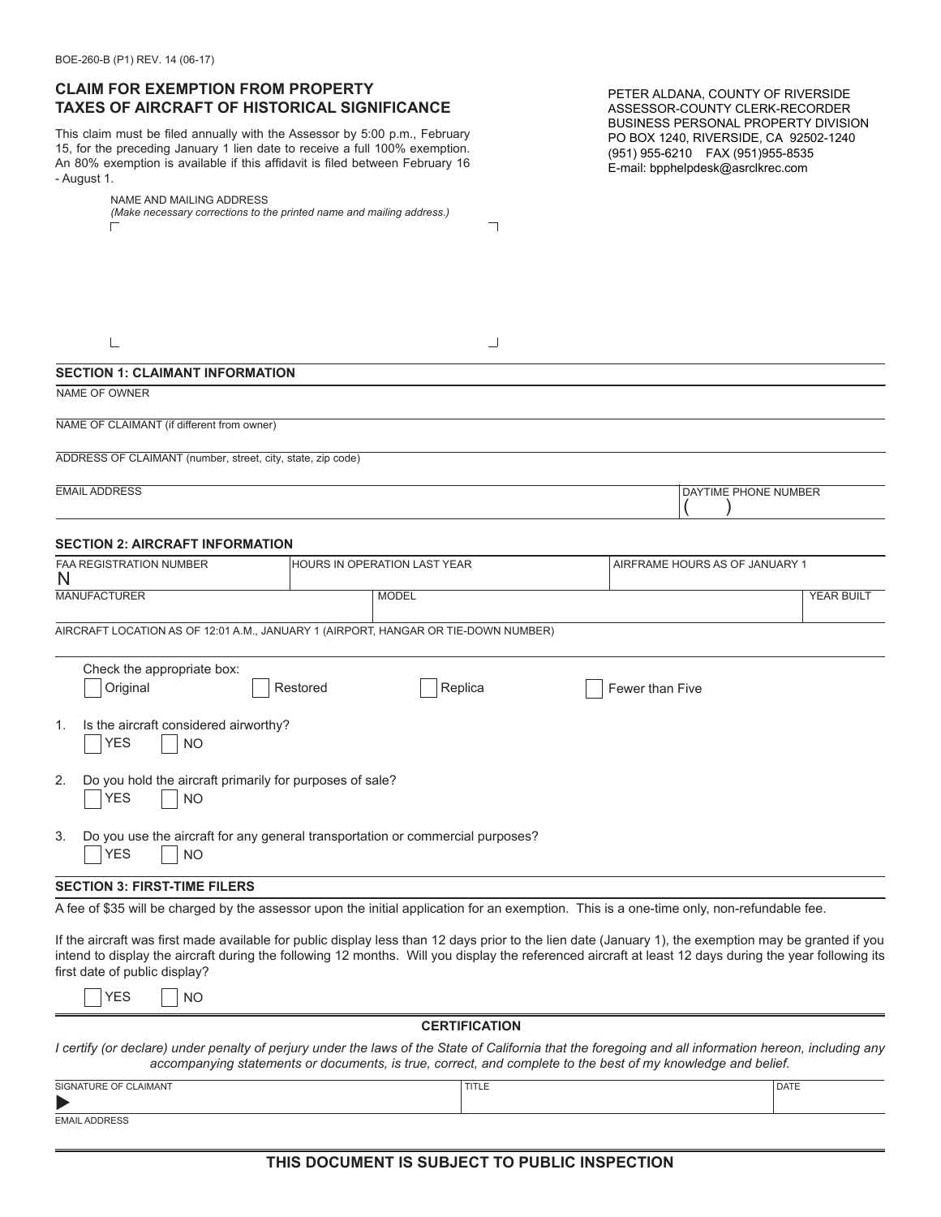## **CLAIM FOR EXEMPTION FROM PROPERTY TAXES OF AIRCRAFT OF HISTORICAL SIGNIFICANCE**

This claim must be filed annually with the Assessor by 5:00 p.m., February 15, for the preceding January 1 lien date to receive a full 100% exemption. An 80% exemption is available if this affidavit is filed between February 16 - August 1.

|                | NAME AND MAILING ADDRESS                                              |
|----------------|-----------------------------------------------------------------------|
|                | (Make necessary corrections to the printed name and mailing address.) |
| $\overline{ }$ |                                                                       |

PETER ALDANA, COUNTY OF RIVERSIDE ASSESSOR-COUNTY CLERK-RECORDER BUSINESS PERSONAL PROPERTY DIVISION PO BOX 1240, RIVERSIDE, CA 92502-1240 (951) 955-6210 FAX (951)955-8535 E-mail: bpphelpdesk@asrclkrec.com

|                                                                                                                                           | ┘                                                                                  |                                |                   |  |  |  |  |  |
|-------------------------------------------------------------------------------------------------------------------------------------------|------------------------------------------------------------------------------------|--------------------------------|-------------------|--|--|--|--|--|
| <b>SECTION 1: CLAIMANT INFORMATION</b>                                                                                                    |                                                                                    |                                |                   |  |  |  |  |  |
| NAME OF OWNER                                                                                                                             |                                                                                    |                                |                   |  |  |  |  |  |
| NAME OF CLAIMANT (if different from owner)                                                                                                |                                                                                    |                                |                   |  |  |  |  |  |
| ADDRESS OF CLAIMANT (number, street, city, state, zip code)                                                                               |                                                                                    |                                |                   |  |  |  |  |  |
| <b>EMAIL ADDRESS</b>                                                                                                                      |                                                                                    | DAYTIME PHONE NUMBER           |                   |  |  |  |  |  |
| <b>SECTION 2: AIRCRAFT INFORMATION</b>                                                                                                    |                                                                                    |                                |                   |  |  |  |  |  |
| <b>FAA REGISTRATION NUMBER</b><br>N                                                                                                       | HOURS IN OPERATION LAST YEAR                                                       | AIRFRAME HOURS AS OF JANUARY 1 |                   |  |  |  |  |  |
| <b>MANUFACTURER</b>                                                                                                                       | <b>MODEL</b>                                                                       |                                | <b>YEAR BUILT</b> |  |  |  |  |  |
|                                                                                                                                           | AIRCRAFT LOCATION AS OF 12:01 A.M., JANUARY 1 (AIRPORT, HANGAR OR TIE-DOWN NUMBER) |                                |                   |  |  |  |  |  |
| Check the appropriate box:<br>Original                                                                                                    | Restored<br>Replica                                                                | Fewer than Five                |                   |  |  |  |  |  |
| Is the aircraft considered airworthy?<br>$\mathbf{1}$ .<br><b>YES</b><br><b>NO</b>                                                        |                                                                                    |                                |                   |  |  |  |  |  |
| Do you hold the aircraft primarily for purposes of sale?<br>2.<br><b>YES</b><br><b>NO</b>                                                 |                                                                                    |                                |                   |  |  |  |  |  |
| 3.<br><b>YES</b><br><b>NO</b>                                                                                                             | Do you use the aircraft for any general transportation or commercial purposes?     |                                |                   |  |  |  |  |  |
| <b>SECTION 3: FIRST-TIME FILERS</b>                                                                                                       |                                                                                    |                                |                   |  |  |  |  |  |
| A fee of \$35 will be charged by the assessor upon the initial application for an exemption. This is a one-time only, non-refundable fee. |                                                                                    |                                |                   |  |  |  |  |  |

 $\overline{\phantom{0}}$ 

If the aircraft was first made available for public display less than 12 days prior to the lien date (January 1), the exemption may be granted if you intend to display the aircraft during the following 12 months. Will you display the referenced aircraft at least 12 days during the year following its first date of public display?

| YFS. |  | NO. |
|------|--|-----|
|------|--|-----|

#### **CERTIFICATION**

*I certify (or declare) under penalty of perjury under the laws of the State of California that the foregoing and all information hereon, including any accompanying statements or documents, is true, correct, and complete to the best of my knowledge and belief.*

| <b>AIMANT</b><br>SIGNATL | $-1$<br>11 L L L | DATE |  |  |  |
|--------------------------|------------------|------|--|--|--|
|                          |                  |      |  |  |  |
| ______________           |                  |      |  |  |  |